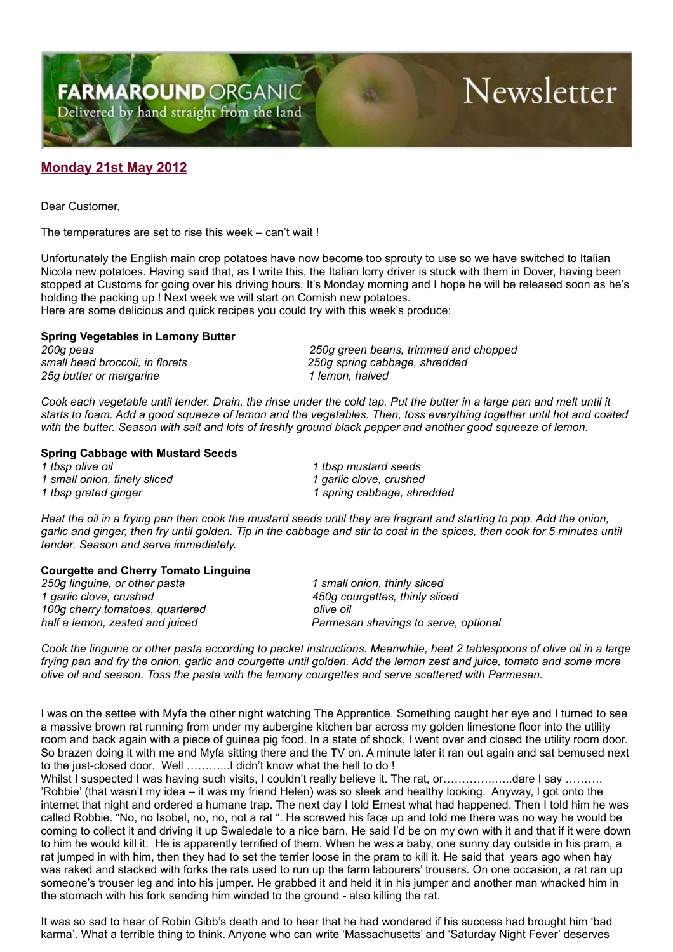**FARMAROUND ORGANIC** Delivered by hand straight from the land

# Newsletter

## **Monday 21st May 2012**

Dear Customer,

The temperatures are set to rise this week – can't wait !

Unfortunately the English main crop potatoes have now become too sprouty to use so we have switched to Italian Nicola new potatoes. Having said that, as I write this, the Italian lorry driver is stuck with them in Dover, having been stopped at Customs for going over his driving hours. It's Monday morning and I hope he will be released soon as he's holding the packing up ! Next week we will start on Cornish new potatoes.

Here are some delicious and quick recipes you could try with this week's produce:

### **Spring Vegetables in Lemony Butter**

*25g butter or margarine 1 lemon, halved*

*200g peas 250g green beans, trimmed and chopped small head broccoli, in florets 250g spring cabbage, shredded*

*Cook each vegetable until tender. Drain, the rinse under the cold tap. Put the butter in a large pan and melt until it starts to foam. Add a good squeeze of lemon and the vegetables. Then, toss everything together until hot and coated with the butter. Season with salt and lots of freshly ground black pepper and another good squeeze of lemon.*

#### **Spring Cabbage with Mustard Seeds**

*1 small onion, finely sliced 1 garlic clove, crushed*

*1 tbsp olive oil 1 tbsp mustard seeds 1 tbsp grated ginger 1 spring cabbage, shredded*

*Heat the oil in a frying pan then cook the mustard seeds until they are fragrant and starting to pop. Add the onion, garlic and ginger, then fry until golden. Tip in the cabbage and stir to coat in the spices, then cook for 5 minutes until tender. Season and serve immediately.*

### **Courgette and Cherry Tomato Linguine**

*250g linguine, or other pasta 1 small onion, thinly sliced 1 garlic clove, crushed 450g courgettes, thinly sliced 100g cherry tomatoes, quartered olive oil half a lemon, zested and juiced Parmesan shavings to serve, optional*

*Cook the linguine or other pasta according to packet instructions. Meanwhile, heat 2 tablespoons of olive oil in a large frying pan and fry the onion, garlic and courgette until golden. Add the lemon zest and juice, tomato and some more olive oil and season. Toss the pasta with the lemony courgettes and serve scattered with Parmesan.*

I was on the settee with Myfa the other night watching The Apprentice. Something caught her eye and I turned to see a massive brown rat running from under my aubergine kitchen bar across my golden limestone floor into the utility room and back again with a piece of guinea pig food. In a state of shock, I went over and closed the utility room door. So brazen doing it with me and Myfa sitting there and the TV on. A minute later it ran out again and sat bemused next to the just-closed door. Well ………...I didn't know what the hell to do !

Whilst I suspected I was having such visits, I couldn't really believe it. The rat, or…………………dare I say ………. 'Robbie' (that wasn't my idea – it was my friend Helen) was so sleek and healthy looking. Anyway, I got onto the internet that night and ordered a humane trap. The next day I told Ernest what had happened. Then I told him he was called Robbie. "No, no Isobel, no, no, not a rat ". He screwed his face up and told me there was no way he would be coming to collect it and driving it up Swaledale to a nice barn. He said I'd be on my own with it and that if it were down to him he would kill it. He is apparently terrified of them. When he was a baby, one sunny day outside in his pram, a rat jumped in with him, then they had to set the terrier loose in the pram to kill it. He said that years ago when hay was raked and stacked with forks the rats used to run up the farm labourers' trousers. On one occasion, a rat ran up someone's trouser leg and into his jumper. He grabbed it and held it in his jumper and another man whacked him in the stomach with his fork sending him winded to the ground - also killing the rat.

It was so sad to hear of Robin Gibb's death and to hear that he had wondered if his success had brought him 'bad karma'. What a terrible thing to think. Anyone who can write 'Massachusetts' and 'Saturday Night Fever' deserves